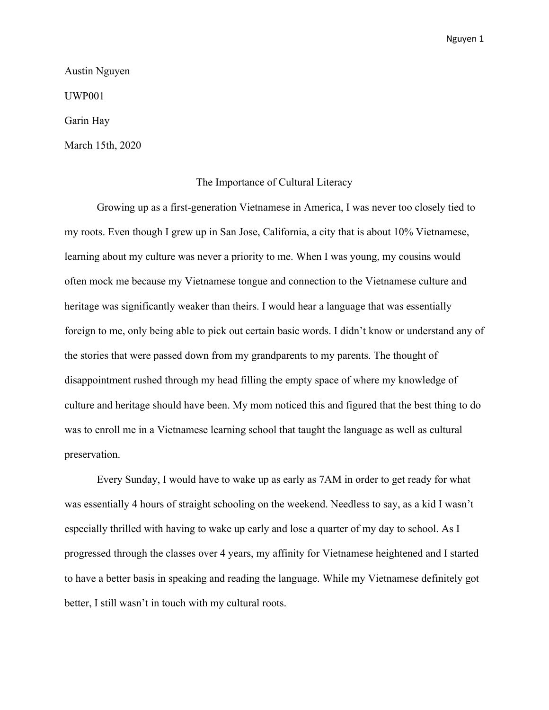Austin Nguyen UWP001 Garin Hay March 15th, 2020

## The Importance of Cultural Literacy

Growing up as a first-generation Vietnamese in America, I was never too closely tied to my roots. Even though I grew up in San Jose, California, a city that is about 10% Vietnamese, learning about my culture was never a priority to me. When I was young, my cousins would often mock me because my Vietnamese tongue and connection to the Vietnamese culture and heritage was significantly weaker than theirs. I would hear a language that was essentially foreign to me, only being able to pick out certain basic words. I didn't know or understand any of the stories that were passed down from my grandparents to my parents. The thought of disappointment rushed through my head filling the empty space of where my knowledge of culture and heritage should have been. My mom noticed this and figured that the best thing to do was to enroll me in a Vietnamese learning school that taught the language as well as cultural preservation.

Every Sunday, I would have to wake up as early as 7AM in order to get ready for what was essentially 4 hours of straight schooling on the weekend. Needless to say, as a kid I wasn't especially thrilled with having to wake up early and lose a quarter of my day to school. As I progressed through the classes over 4 years, my affinity for Vietnamese heightened and I started to have a better basis in speaking and reading the language. While my Vietnamese definitely got better, I still wasn't in touch with my cultural roots.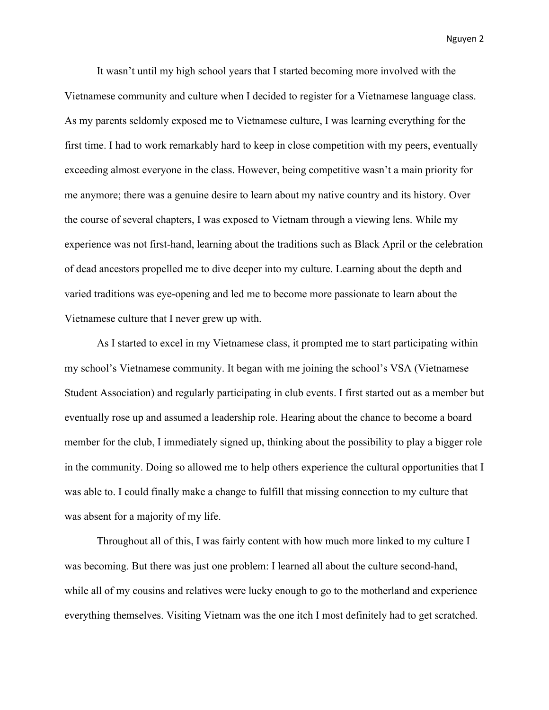It wasn't until my high school years that I started becoming more involved with the Vietnamese community and culture when I decided to register for a Vietnamese language class. As my parents seldomly exposed me to Vietnamese culture, I was learning everything for the first time. I had to work remarkably hard to keep in close competition with my peers, eventually exceeding almost everyone in the class. However, being competitive wasn't a main priority for me anymore; there was a genuine desire to learn about my native country and its history. Over the course of several chapters, I was exposed to Vietnam through a viewing lens. While my experience was not first-hand, learning about the traditions such as Black April or the celebration of dead ancestors propelled me to dive deeper into my culture. Learning about the depth and varied traditions was eye-opening and led me to become more passionate to learn about the Vietnamese culture that I never grew up with.

As I started to excel in my Vietnamese class, it prompted me to start participating within my school's Vietnamese community. It began with me joining the school's VSA (Vietnamese Student Association) and regularly participating in club events. I first started out as a member but eventually rose up and assumed a leadership role. Hearing about the chance to become a board member for the club, I immediately signed up, thinking about the possibility to play a bigger role in the community. Doing so allowed me to help others experience the cultural opportunities that I was able to. I could finally make a change to fulfill that missing connection to my culture that was absent for a majority of my life.

Throughout all of this, I was fairly content with how much more linked to my culture I was becoming. But there was just one problem: I learned all about the culture second-hand, while all of my cousins and relatives were lucky enough to go to the motherland and experience everything themselves. Visiting Vietnam was the one itch I most definitely had to get scratched.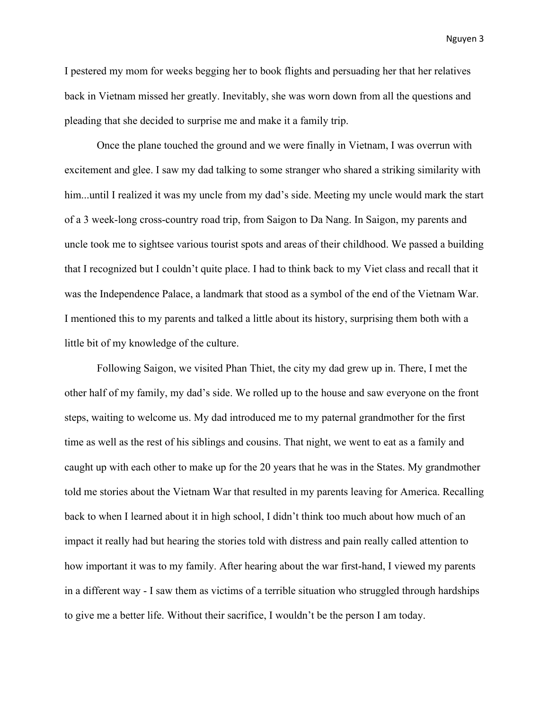I pestered my mom for weeks begging her to book flights and persuading her that her relatives back in Vietnam missed her greatly. Inevitably, she was worn down from all the questions and pleading that she decided to surprise me and make it a family trip.

Once the plane touched the ground and we were finally in Vietnam, I was overrun with excitement and glee. I saw my dad talking to some stranger who shared a striking similarity with him...until I realized it was my uncle from my dad's side. Meeting my uncle would mark the start of a 3 week-long cross-country road trip, from Saigon to Da Nang. In Saigon, my parents and uncle took me to sightsee various tourist spots and areas of their childhood. We passed a building that I recognized but I couldn't quite place. I had to think back to my Viet class and recall that it was the Independence Palace, a landmark that stood as a symbol of the end of the Vietnam War. I mentioned this to my parents and talked a little about its history, surprising them both with a little bit of my knowledge of the culture.

Following Saigon, we visited Phan Thiet, the city my dad grew up in. There, I met the other half of my family, my dad's side. We rolled up to the house and saw everyone on the front steps, waiting to welcome us. My dad introduced me to my paternal grandmother for the first time as well as the rest of his siblings and cousins. That night, we went to eat as a family and caught up with each other to make up for the 20 years that he was in the States. My grandmother told me stories about the Vietnam War that resulted in my parents leaving for America. Recalling back to when I learned about it in high school, I didn't think too much about how much of an impact it really had but hearing the stories told with distress and pain really called attention to how important it was to my family. After hearing about the war first-hand, I viewed my parents in a different way - I saw them as victims of a terrible situation who struggled through hardships to give me a better life. Without their sacrifice, I wouldn't be the person I am today.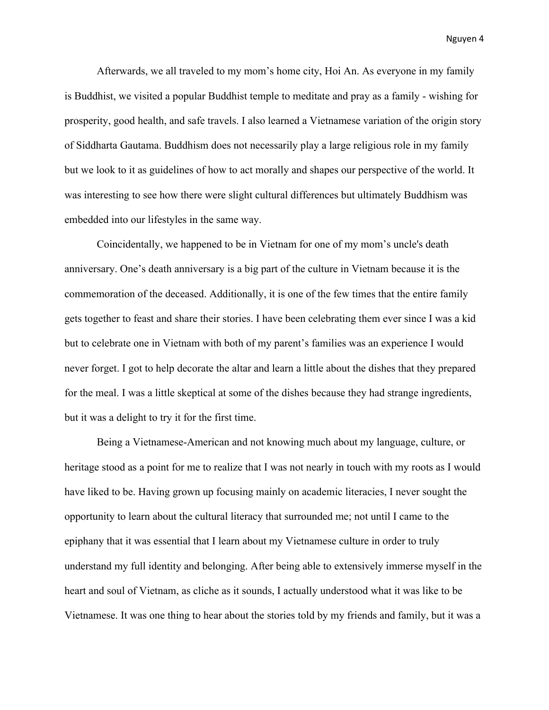Afterwards, we all traveled to my mom's home city, Hoi An. As everyone in my family is Buddhist, we visited a popular Buddhist temple to meditate and pray as a family - wishing for prosperity, good health, and safe travels. I also learned a Vietnamese variation of the origin story of Siddharta Gautama. Buddhism does not necessarily play a large religious role in my family but we look to it as guidelines of how to act morally and shapes our perspective of the world. It was interesting to see how there were slight cultural differences but ultimately Buddhism was embedded into our lifestyles in the same way.

Coincidentally, we happened to be in Vietnam for one of my mom's uncle's death anniversary. One's death anniversary is a big part of the culture in Vietnam because it is the commemoration of the deceased. Additionally, it is one of the few times that the entire family gets together to feast and share their stories. I have been celebrating them ever since I was a kid but to celebrate one in Vietnam with both of my parent's families was an experience I would never forget. I got to help decorate the altar and learn a little about the dishes that they prepared for the meal. I was a little skeptical at some of the dishes because they had strange ingredients, but it was a delight to try it for the first time.

Being a Vietnamese-American and not knowing much about my language, culture, or heritage stood as a point for me to realize that I was not nearly in touch with my roots as I would have liked to be. Having grown up focusing mainly on academic literacies, I never sought the opportunity to learn about the cultural literacy that surrounded me; not until I came to the epiphany that it was essential that I learn about my Vietnamese culture in order to truly understand my full identity and belonging. After being able to extensively immerse myself in the heart and soul of Vietnam, as cliche as it sounds, I actually understood what it was like to be Vietnamese. It was one thing to hear about the stories told by my friends and family, but it was a